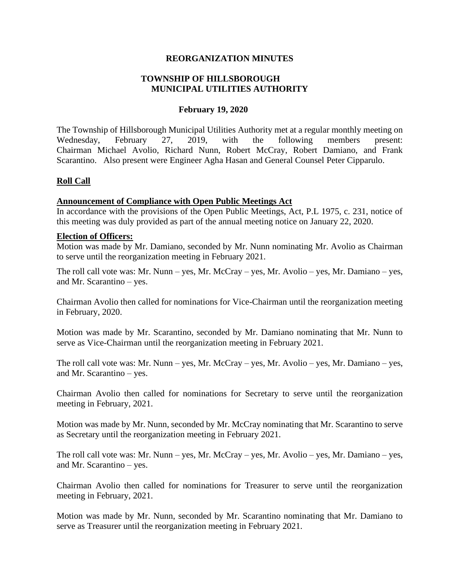#### **REORGANIZATION MINUTES**

#### **TOWNSHIP OF HILLSBOROUGH MUNICIPAL UTILITIES AUTHORITY**

#### **February 19, 2020**

The Township of Hillsborough Municipal Utilities Authority met at a regular monthly meeting on Wednesday, February 27, 2019, with the following members present: Chairman Michael Avolio, Richard Nunn, Robert McCray, Robert Damiano, and Frank Scarantino. Also present were Engineer Agha Hasan and General Counsel Peter Cipparulo.

#### **Roll Call**

#### **Announcement of Compliance with Open Public Meetings Act**

In accordance with the provisions of the Open Public Meetings, Act, P.L 1975, c. 231, notice of this meeting was duly provided as part of the annual meeting notice on January 22, 2020.

#### **Election of Officers:**

Motion was made by Mr. Damiano, seconded by Mr. Nunn nominating Mr. Avolio as Chairman to serve until the reorganization meeting in February 2021.

The roll call vote was: Mr. Nunn – yes, Mr. McCray – yes, Mr. Avolio – yes, Mr. Damiano – yes, and Mr. Scarantino – yes.

Chairman Avolio then called for nominations for Vice-Chairman until the reorganization meeting in February, 2020.

Motion was made by Mr. Scarantino, seconded by Mr. Damiano nominating that Mr. Nunn to serve as Vice-Chairman until the reorganization meeting in February 2021.

The roll call vote was: Mr. Nunn – yes, Mr. McCray – yes, Mr. Avolio – yes, Mr. Damiano – yes, and Mr. Scarantino – yes.

Chairman Avolio then called for nominations for Secretary to serve until the reorganization meeting in February, 2021.

Motion was made by Mr. Nunn, seconded by Mr. McCray nominating that Mr. Scarantino to serve as Secretary until the reorganization meeting in February 2021.

The roll call vote was: Mr. Nunn – yes, Mr. McCray – yes, Mr. Avolio – yes, Mr. Damiano – yes, and Mr. Scarantino – yes.

Chairman Avolio then called for nominations for Treasurer to serve until the reorganization meeting in February, 2021.

Motion was made by Mr. Nunn, seconded by Mr. Scarantino nominating that Mr. Damiano to serve as Treasurer until the reorganization meeting in February 2021.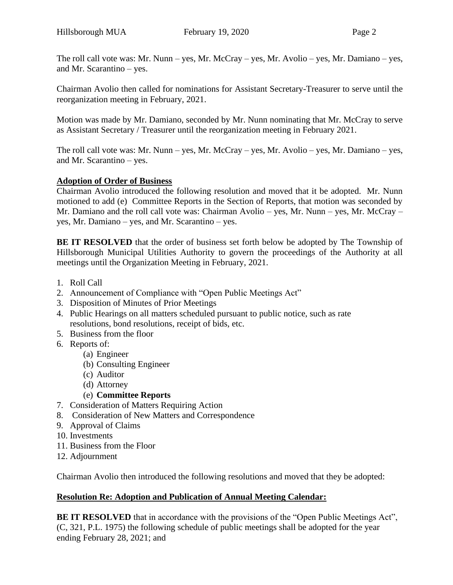The roll call vote was: Mr. Nunn – yes, Mr. McCray – yes, Mr. Avolio – yes, Mr. Damiano – yes, and Mr. Scarantino – yes.

Chairman Avolio then called for nominations for Assistant Secretary-Treasurer to serve until the reorganization meeting in February, 2021.

Motion was made by Mr. Damiano, seconded by Mr. Nunn nominating that Mr. McCray to serve as Assistant Secretary / Treasurer until the reorganization meeting in February 2021.

The roll call vote was: Mr. Nunn – yes, Mr. McCray – yes, Mr. Avolio – yes, Mr. Damiano – yes, and Mr. Scarantino – yes.

### **Adoption of Order of Business**

Chairman Avolio introduced the following resolution and moved that it be adopted. Mr. Nunn motioned to add (e) Committee Reports in the Section of Reports, that motion was seconded by Mr. Damiano and the roll call vote was: Chairman Avolio – yes, Mr. Nunn – yes, Mr. McCray – yes, Mr. Damiano – yes, and Mr. Scarantino – yes.

**BE IT RESOLVED** that the order of business set forth below be adopted by The Township of Hillsborough Municipal Utilities Authority to govern the proceedings of the Authority at all meetings until the Organization Meeting in February, 2021.

- 1. Roll Call
- 2. Announcement of Compliance with "Open Public Meetings Act"
- 3. Disposition of Minutes of Prior Meetings
- 4. Public Hearings on all matters scheduled pursuant to public notice, such as rate resolutions, bond resolutions, receipt of bids, etc.
- 5. Business from the floor
- 6. Reports of:
	- (a) Engineer
	- (b) Consulting Engineer
	- (c) Auditor
	- (d) Attorney
	- (e) **Committee Reports**
- 7. Consideration of Matters Requiring Action
- 8. Consideration of New Matters and Correspondence
- 9. Approval of Claims
- 10. Investments
- 11. Business from the Floor
- 12. Adjournment

Chairman Avolio then introduced the following resolutions and moved that they be adopted:

### **Resolution Re: Adoption and Publication of Annual Meeting Calendar:**

**BE IT RESOLVED** that in accordance with the provisions of the "Open Public Meetings Act", (C, 321, P.L. 1975) the following schedule of public meetings shall be adopted for the year ending February 28, 2021; and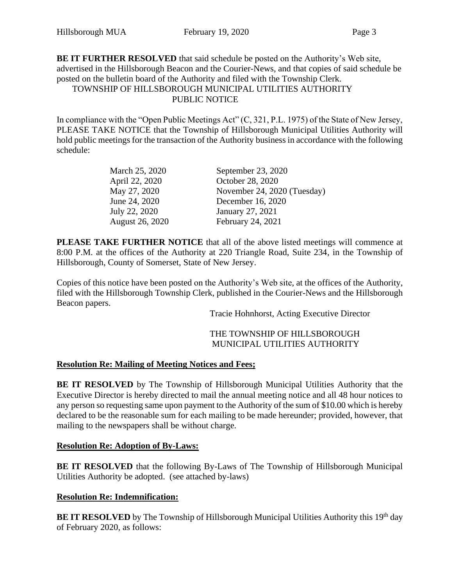**BE IT FURTHER RESOLVED** that said schedule be posted on the Authority's Web site, advertised in the Hillsborough Beacon and the Courier-News, and that copies of said schedule be posted on the bulletin board of the Authority and filed with the Township Clerk.

## TOWNSHIP OF HILLSBOROUGH MUNICIPAL UTILITIES AUTHORITY PUBLIC NOTICE

In compliance with the "Open Public Meetings Act" (C, 321, P.L. 1975) of the State of New Jersey, PLEASE TAKE NOTICE that the Township of Hillsborough Municipal Utilities Authority will hold public meetings for the transaction of the Authority business in accordance with the following schedule:

| March 25, 2020  | September 23, 2020          |
|-----------------|-----------------------------|
| April 22, 2020  | October 28, 2020            |
| May 27, 2020    | November 24, 2020 (Tuesday) |
| June 24, 2020   | December 16, 2020           |
| July 22, 2020   | January 27, 2021            |
| August 26, 2020 | February 24, 2021           |

**PLEASE TAKE FURTHER NOTICE** that all of the above listed meetings will commence at 8:00 P.M. at the offices of the Authority at 220 Triangle Road, Suite 234, in the Township of Hillsborough, County of Somerset, State of New Jersey.

Copies of this notice have been posted on the Authority's Web site, at the offices of the Authority, filed with the Hillsborough Township Clerk, published in the Courier-News and the Hillsborough Beacon papers.

Tracie Hohnhorst, Acting Executive Director

#### THE TOWNSHIP OF HILLSBOROUGH MUNICIPAL UTILITIES AUTHORITY

#### **Resolution Re: Mailing of Meeting Notices and Fees;**

**BE IT RESOLVED** by The Township of Hillsborough Municipal Utilities Authority that the Executive Director is hereby directed to mail the annual meeting notice and all 48 hour notices to any person so requesting same upon payment to the Authority of the sum of \$10.00 which is hereby declared to be the reasonable sum for each mailing to be made hereunder; provided, however, that mailing to the newspapers shall be without charge.

#### **Resolution Re: Adoption of By-Laws:**

**BE IT RESOLVED** that the following By-Laws of The Township of Hillsborough Municipal Utilities Authority be adopted. (see attached by-laws)

### **Resolution Re: Indemnification:**

**BE IT RESOLVED** by The Township of Hillsborough Municipal Utilities Authority this 19<sup>th</sup> day of February 2020, as follows: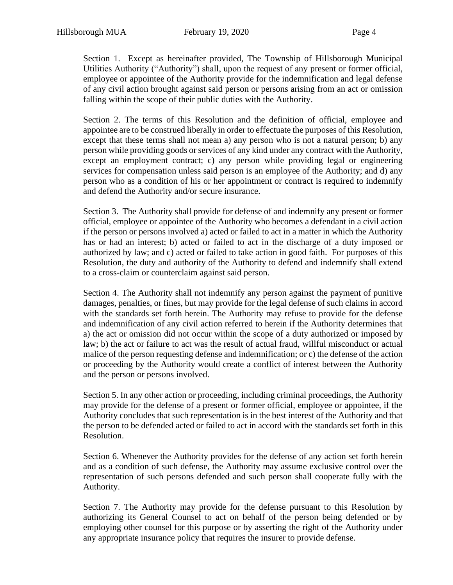Section 1. Except as hereinafter provided, The Township of Hillsborough Municipal Utilities Authority ("Authority") shall, upon the request of any present or former official, employee or appointee of the Authority provide for the indemnification and legal defense of any civil action brought against said person or persons arising from an act or omission falling within the scope of their public duties with the Authority.

Section 2. The terms of this Resolution and the definition of official, employee and appointee are to be construed liberally in order to effectuate the purposes of this Resolution, except that these terms shall not mean a) any person who is not a natural person; b) any person while providing goods or services of any kind under any contract with the Authority, except an employment contract; c) any person while providing legal or engineering services for compensation unless said person is an employee of the Authority; and d) any person who as a condition of his or her appointment or contract is required to indemnify and defend the Authority and/or secure insurance.

Section 3. The Authority shall provide for defense of and indemnify any present or former official, employee or appointee of the Authority who becomes a defendant in a civil action if the person or persons involved a) acted or failed to act in a matter in which the Authority has or had an interest; b) acted or failed to act in the discharge of a duty imposed or authorized by law; and c) acted or failed to take action in good faith. For purposes of this Resolution, the duty and authority of the Authority to defend and indemnify shall extend to a cross-claim or counterclaim against said person.

Section 4. The Authority shall not indemnify any person against the payment of punitive damages, penalties, or fines, but may provide for the legal defense of such claims in accord with the standards set forth herein. The Authority may refuse to provide for the defense and indemnification of any civil action referred to herein if the Authority determines that a) the act or omission did not occur within the scope of a duty authorized or imposed by law; b) the act or failure to act was the result of actual fraud, willful misconduct or actual malice of the person requesting defense and indemnification; or c) the defense of the action or proceeding by the Authority would create a conflict of interest between the Authority and the person or persons involved.

Section 5. In any other action or proceeding, including criminal proceedings, the Authority may provide for the defense of a present or former official, employee or appointee, if the Authority concludes that such representation is in the best interest of the Authority and that the person to be defended acted or failed to act in accord with the standards set forth in this Resolution.

Section 6. Whenever the Authority provides for the defense of any action set forth herein and as a condition of such defense, the Authority may assume exclusive control over the representation of such persons defended and such person shall cooperate fully with the Authority.

Section 7. The Authority may provide for the defense pursuant to this Resolution by authorizing its General Counsel to act on behalf of the person being defended or by employing other counsel for this purpose or by asserting the right of the Authority under any appropriate insurance policy that requires the insurer to provide defense.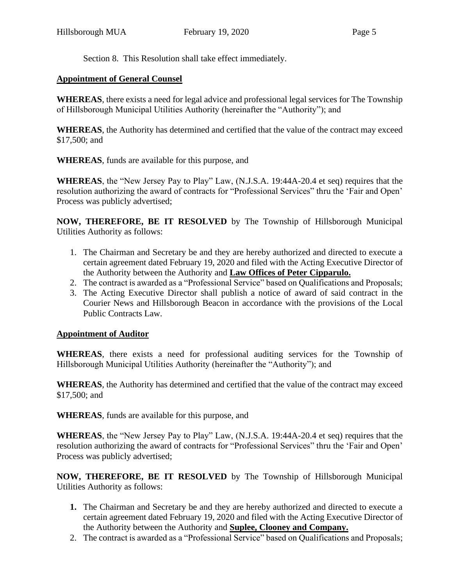Section 8. This Resolution shall take effect immediately.

### **Appointment of General Counsel**

**WHEREAS**, there exists a need for legal advice and professional legal services for The Township of Hillsborough Municipal Utilities Authority (hereinafter the "Authority"); and

**WHEREAS**, the Authority has determined and certified that the value of the contract may exceed \$17,500; and

**WHEREAS**, funds are available for this purpose, and

**WHEREAS**, the "New Jersey Pay to Play" Law, (N.J.S.A. 19:44A-20.4 et seq) requires that the resolution authorizing the award of contracts for "Professional Services" thru the 'Fair and Open' Process was publicly advertised;

**NOW, THEREFORE, BE IT RESOLVED** by The Township of Hillsborough Municipal Utilities Authority as follows:

- 1. The Chairman and Secretary be and they are hereby authorized and directed to execute a certain agreement dated February 19, 2020 and filed with the Acting Executive Director of the Authority between the Authority and **Law Offices of Peter Cipparulo.**
- 2. The contract is awarded as a "Professional Service" based on Qualifications and Proposals;
- 3. The Acting Executive Director shall publish a notice of award of said contract in the Courier News and Hillsborough Beacon in accordance with the provisions of the Local Public Contracts Law.

### **Appointment of Auditor**

**WHEREAS**, there exists a need for professional auditing services for the Township of Hillsborough Municipal Utilities Authority (hereinafter the "Authority"); and

**WHEREAS**, the Authority has determined and certified that the value of the contract may exceed \$17,500; and

**WHEREAS**, funds are available for this purpose, and

**WHEREAS**, the "New Jersey Pay to Play" Law, (N.J.S.A. 19:44A-20.4 et seq) requires that the resolution authorizing the award of contracts for "Professional Services" thru the 'Fair and Open' Process was publicly advertised;

**NOW, THEREFORE, BE IT RESOLVED** by The Township of Hillsborough Municipal Utilities Authority as follows:

- **1.** The Chairman and Secretary be and they are hereby authorized and directed to execute a certain agreement dated February 19, 2020 and filed with the Acting Executive Director of the Authority between the Authority and **Suplee, Clooney and Company.**
- 2. The contract is awarded as a "Professional Service" based on Qualifications and Proposals;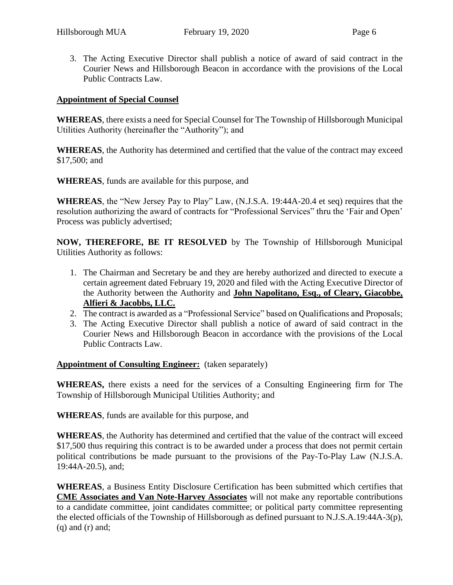3. The Acting Executive Director shall publish a notice of award of said contract in the Courier News and Hillsborough Beacon in accordance with the provisions of the Local Public Contracts Law.

#### **Appointment of Special Counsel**

**WHEREAS**, there exists a need for Special Counsel for The Township of Hillsborough Municipal Utilities Authority (hereinafter the "Authority"); and

**WHEREAS**, the Authority has determined and certified that the value of the contract may exceed \$17,500; and

**WHEREAS**, funds are available for this purpose, and

**WHEREAS**, the "New Jersey Pay to Play" Law, (N.J.S.A. 19:44A-20.4 et seq) requires that the resolution authorizing the award of contracts for "Professional Services" thru the 'Fair and Open' Process was publicly advertised;

**NOW, THEREFORE, BE IT RESOLVED** by The Township of Hillsborough Municipal Utilities Authority as follows:

- 1. The Chairman and Secretary be and they are hereby authorized and directed to execute a certain agreement dated February 19, 2020 and filed with the Acting Executive Director of the Authority between the Authority and **John Napolitano, Esq., of Cleary, Giacobbe, Alfieri & Jacobbs, LLC.**
- 2. The contract is awarded as a "Professional Service" based on Qualifications and Proposals;
- 3. The Acting Executive Director shall publish a notice of award of said contract in the Courier News and Hillsborough Beacon in accordance with the provisions of the Local Public Contracts Law.

#### **Appointment of Consulting Engineer:** (taken separately)

**WHEREAS,** there exists a need for the services of a Consulting Engineering firm for The Township of Hillsborough Municipal Utilities Authority; and

**WHEREAS**, funds are available for this purpose, and

**WHEREAS**, the Authority has determined and certified that the value of the contract will exceed \$17,500 thus requiring this contract is to be awarded under a process that does not permit certain political contributions be made pursuant to the provisions of the Pay-To-Play Law (N.J.S.A. 19:44A-20.5), and;

**WHEREAS**, a Business Entity Disclosure Certification has been submitted which certifies that **CME Associates and Van Note-Harvey Associates** will not make any reportable contributions to a candidate committee, joint candidates committee; or political party committee representing the elected officials of the Township of Hillsborough as defined pursuant to N.J.S.A.19:44A-3(p),  $(q)$  and  $(r)$  and;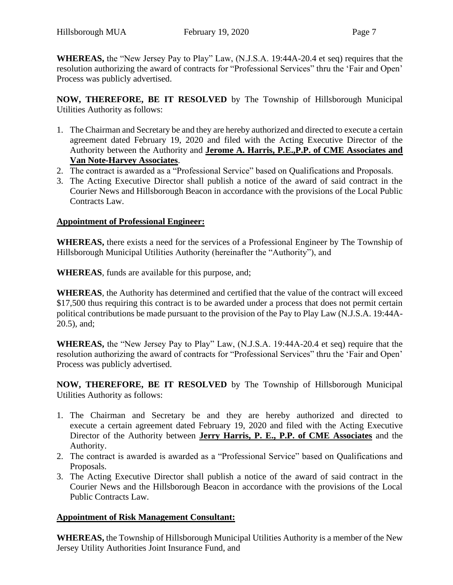**WHEREAS,** the "New Jersey Pay to Play" Law, (N.J.S.A. 19:44A-20.4 et seq) requires that the resolution authorizing the award of contracts for "Professional Services" thru the 'Fair and Open' Process was publicly advertised.

**NOW, THEREFORE, BE IT RESOLVED** by The Township of Hillsborough Municipal Utilities Authority as follows:

- 1. The Chairman and Secretary be and they are hereby authorized and directed to execute a certain agreement dated February 19, 2020 and filed with the Acting Executive Director of the Authority between the Authority and **Jerome A. Harris, P.E.,P.P. of CME Associates and Van Note-Harvey Associates**.
- 2. The contract is awarded as a "Professional Service" based on Qualifications and Proposals.
- 3. The Acting Executive Director shall publish a notice of the award of said contract in the Courier News and Hillsborough Beacon in accordance with the provisions of the Local Public Contracts Law.

## **Appointment of Professional Engineer:**

**WHEREAS,** there exists a need for the services of a Professional Engineer by The Township of Hillsborough Municipal Utilities Authority (hereinafter the "Authority"), and

**WHEREAS**, funds are available for this purpose, and;

**WHEREAS**, the Authority has determined and certified that the value of the contract will exceed \$17,500 thus requiring this contract is to be awarded under a process that does not permit certain political contributions be made pursuant to the provision of the Pay to Play Law (N.J.S.A. 19:44A-20.5), and;

**WHEREAS,** the "New Jersey Pay to Play" Law, (N.J.S.A. 19:44A-20.4 et seq) require that the resolution authorizing the award of contracts for "Professional Services" thru the 'Fair and Open' Process was publicly advertised.

**NOW, THEREFORE, BE IT RESOLVED** by The Township of Hillsborough Municipal Utilities Authority as follows:

- 1. The Chairman and Secretary be and they are hereby authorized and directed to execute a certain agreement dated February 19, 2020 and filed with the Acting Executive Director of the Authority between **Jerry Harris, P. E., P.P. of CME Associates** and the Authority.
- 2. The contract is awarded is awarded as a "Professional Service" based on Qualifications and Proposals.
- 3. The Acting Executive Director shall publish a notice of the award of said contract in the Courier News and the Hillsborough Beacon in accordance with the provisions of the Local Public Contracts Law.

### **Appointment of Risk Management Consultant:**

**WHEREAS,** the Township of Hillsborough Municipal Utilities Authority is a member of the New Jersey Utility Authorities Joint Insurance Fund, and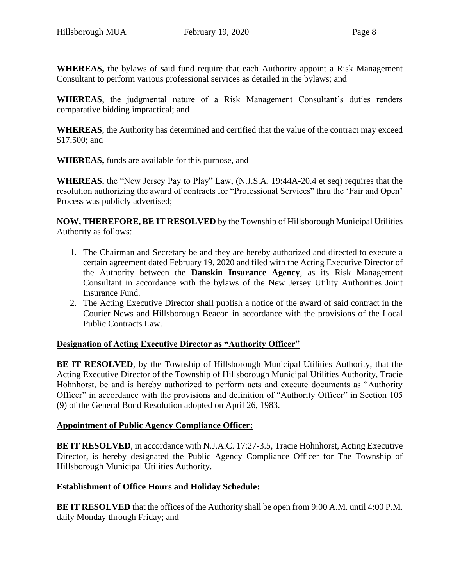**WHEREAS,** the bylaws of said fund require that each Authority appoint a Risk Management Consultant to perform various professional services as detailed in the bylaws; and

**WHEREAS**, the judgmental nature of a Risk Management Consultant's duties renders comparative bidding impractical; and

**WHEREAS**, the Authority has determined and certified that the value of the contract may exceed \$17,500; and

**WHEREAS,** funds are available for this purpose, and

**WHEREAS**, the "New Jersey Pay to Play" Law, (N.J.S.A. 19:44A-20.4 et seq) requires that the resolution authorizing the award of contracts for "Professional Services" thru the 'Fair and Open' Process was publicly advertised;

**NOW, THEREFORE, BE IT RESOLVED** by the Township of Hillsborough Municipal Utilities Authority as follows:

- 1. The Chairman and Secretary be and they are hereby authorized and directed to execute a certain agreement dated February 19, 2020 and filed with the Acting Executive Director of the Authority between the **Danskin Insurance Agency**, as its Risk Management Consultant in accordance with the bylaws of the New Jersey Utility Authorities Joint Insurance Fund.
- 2. The Acting Executive Director shall publish a notice of the award of said contract in the Courier News and Hillsborough Beacon in accordance with the provisions of the Local Public Contracts Law.

# **Designation of Acting Executive Director as "Authority Officer"**

**BE IT RESOLVED**, by the Township of Hillsborough Municipal Utilities Authority, that the Acting Executive Director of the Township of Hillsborough Municipal Utilities Authority, Tracie Hohnhorst, be and is hereby authorized to perform acts and execute documents as "Authority Officer" in accordance with the provisions and definition of "Authority Officer" in Section 105 (9) of the General Bond Resolution adopted on April 26, 1983.

### **Appointment of Public Agency Compliance Officer:**

**BE IT RESOLVED**, in accordance with N.J.A.C. 17:27-3.5, Tracie Hohnhorst, Acting Executive Director, is hereby designated the Public Agency Compliance Officer for The Township of Hillsborough Municipal Utilities Authority.

### **Establishment of Office Hours and Holiday Schedule:**

**BE IT RESOLVED** that the offices of the Authority shall be open from 9:00 A.M. until 4:00 P.M. daily Monday through Friday; and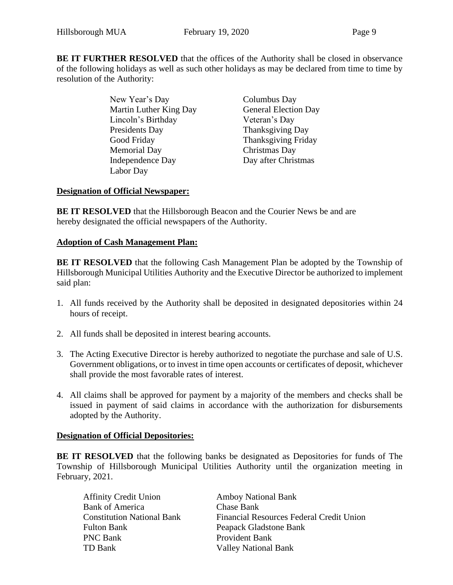**BE IT FURTHER RESOLVED** that the offices of the Authority shall be closed in observance of the following holidays as well as such other holidays as may be declared from time to time by resolution of the Authority:

> New Year's Day Columbus Day Martin Luther King Day **General Election Day** Lincoln's Birthday Veteran's Day Presidents Day Thanksgiving Day Good Friday Thanksgiving Friday Memorial Day Christmas Day Independence Day Day after Christmas Labor Day

## **Designation of Official Newspaper:**

**BE IT RESOLVED** that the Hillsborough Beacon and the Courier News be and are hereby designated the official newspapers of the Authority.

### **Adoption of Cash Management Plan:**

**BE IT RESOLVED** that the following Cash Management Plan be adopted by the Township of Hillsborough Municipal Utilities Authority and the Executive Director be authorized to implement said plan:

- 1. All funds received by the Authority shall be deposited in designated depositories within 24 hours of receipt.
- 2. All funds shall be deposited in interest bearing accounts.
- 3. The Acting Executive Director is hereby authorized to negotiate the purchase and sale of U.S. Government obligations, or to invest in time open accounts or certificates of deposit, whichever shall provide the most favorable rates of interest.
- 4. All claims shall be approved for payment by a majority of the members and checks shall be issued in payment of said claims in accordance with the authorization for disbursements adopted by the Authority.

### **Designation of Official Depositories:**

**BE IT RESOLVED** that the following banks be designated as Depositories for funds of The Township of Hillsborough Municipal Utilities Authority until the organization meeting in February, 2021.

| <b>Amboy National Bank</b>               |
|------------------------------------------|
| Chase Bank                               |
| Financial Resources Federal Credit Union |
| Peapack Gladstone Bank                   |
| Provident Bank                           |
| <b>Valley National Bank</b>              |
|                                          |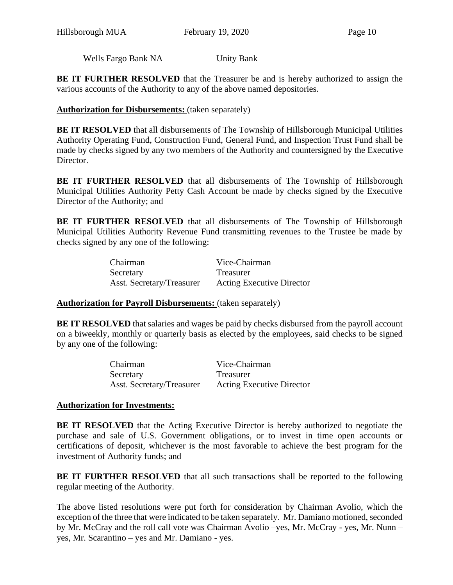Wells Fargo Bank NA Unity Bank

**BE IT FURTHER RESOLVED** that the Treasurer be and is hereby authorized to assign the various accounts of the Authority to any of the above named depositories.

#### **Authorization for Disbursements:** (taken separately)

**BE IT RESOLVED** that all disbursements of The Township of Hillsborough Municipal Utilities Authority Operating Fund, Construction Fund, General Fund, and Inspection Trust Fund shall be made by checks signed by any two members of the Authority and countersigned by the Executive Director.

**BE IT FURTHER RESOLVED** that all disbursements of The Township of Hillsborough Municipal Utilities Authority Petty Cash Account be made by checks signed by the Executive Director of the Authority; and

**BE IT FURTHER RESOLVED** that all disbursements of The Township of Hillsborough Municipal Utilities Authority Revenue Fund transmitting revenues to the Trustee be made by checks signed by any one of the following:

| Chairman                  | Vice-Chairman                    |
|---------------------------|----------------------------------|
| Secretary                 | <b>Treasurer</b>                 |
| Asst. Secretary/Treasurer | <b>Acting Executive Director</b> |

#### **Authorization for Payroll Disbursements:** (taken separately)

**BE IT RESOLVED** that salaries and wages be paid by checks disbursed from the payroll account on a biweekly, monthly or quarterly basis as elected by the employees, said checks to be signed by any one of the following:

| Chairman                  | Vice-Chairman<br><b>Treasurer</b> |  |  |
|---------------------------|-----------------------------------|--|--|
| Secretary                 |                                   |  |  |
| Asst. Secretary/Treasurer | <b>Acting Executive Director</b>  |  |  |

### **Authorization for Investments:**

**BE IT RESOLVED** that the Acting Executive Director is hereby authorized to negotiate the purchase and sale of U.S. Government obligations, or to invest in time open accounts or certifications of deposit, whichever is the most favorable to achieve the best program for the investment of Authority funds; and

**BE IT FURTHER RESOLVED** that all such transactions shall be reported to the following regular meeting of the Authority.

The above listed resolutions were put forth for consideration by Chairman Avolio, which the exception of the three that were indicated to be taken separately. Mr. Damiano motioned, seconded by Mr. McCray and the roll call vote was Chairman Avolio –yes, Mr. McCray - yes, Mr. Nunn – yes, Mr. Scarantino – yes and Mr. Damiano - yes.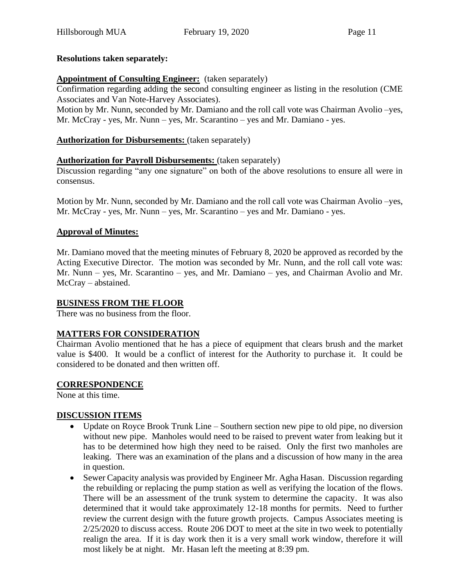### **Resolutions taken separately:**

### **Appointment of Consulting Engineer:** (taken separately)

Confirmation regarding adding the second consulting engineer as listing in the resolution (CME Associates and Van Note-Harvey Associates).

Motion by Mr. Nunn, seconded by Mr. Damiano and the roll call vote was Chairman Avolio –yes, Mr. McCray - yes, Mr. Nunn – yes, Mr. Scarantino – yes and Mr. Damiano - yes.

### **Authorization for Disbursements:** (taken separately)

## **Authorization for Payroll Disbursements:** (taken separately)

Discussion regarding "any one signature" on both of the above resolutions to ensure all were in consensus.

Motion by Mr. Nunn, seconded by Mr. Damiano and the roll call vote was Chairman Avolio –yes, Mr. McCray - yes, Mr. Nunn – yes, Mr. Scarantino – yes and Mr. Damiano - yes.

### **Approval of Minutes:**

Mr. Damiano moved that the meeting minutes of February 8, 2020 be approved as recorded by the Acting Executive Director. The motion was seconded by Mr. Nunn, and the roll call vote was: Mr. Nunn – yes, Mr. Scarantino – yes, and Mr. Damiano – yes, and Chairman Avolio and Mr. McCray – abstained.

### **BUSINESS FROM THE FLOOR**

There was no business from the floor.

### **MATTERS FOR CONSIDERATION**

Chairman Avolio mentioned that he has a piece of equipment that clears brush and the market value is \$400. It would be a conflict of interest for the Authority to purchase it. It could be considered to be donated and then written off.

### **CORRESPONDENCE**

None at this time.

### **DISCUSSION ITEMS**

- Update on Royce Brook Trunk Line Southern section new pipe to old pipe, no diversion without new pipe. Manholes would need to be raised to prevent water from leaking but it has to be determined how high they need to be raised. Only the first two manholes are leaking. There was an examination of the plans and a discussion of how many in the area in question.
- Sewer Capacity analysis was provided by Engineer Mr. Agha Hasan. Discussion regarding the rebuilding or replacing the pump station as well as verifying the location of the flows. There will be an assessment of the trunk system to determine the capacity. It was also determined that it would take approximately 12-18 months for permits. Need to further review the current design with the future growth projects. Campus Associates meeting is 2/25/2020 to discuss access. Route 206 DOT to meet at the site in two week to potentially realign the area. If it is day work then it is a very small work window, therefore it will most likely be at night. Mr. Hasan left the meeting at 8:39 pm.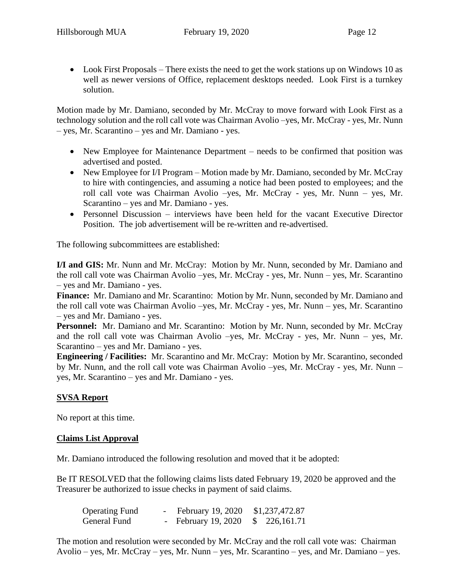• Look First Proposals – There exists the need to get the work stations up on Windows 10 as well as newer versions of Office, replacement desktops needed. Look First is a turnkey solution.

Motion made by Mr. Damiano, seconded by Mr. McCray to move forward with Look First as a technology solution and the roll call vote was Chairman Avolio –yes, Mr. McCray - yes, Mr. Nunn – yes, Mr. Scarantino – yes and Mr. Damiano - yes.

- New Employee for Maintenance Department needs to be confirmed that position was advertised and posted.
- New Employee for I/I Program Motion made by Mr. Damiano, seconded by Mr. McCray to hire with contingencies, and assuming a notice had been posted to employees; and the roll call vote was Chairman Avolio –yes, Mr. McCray - yes, Mr. Nunn – yes, Mr. Scarantino – yes and Mr. Damiano - yes.
- Personnel Discussion interviews have been held for the vacant Executive Director Position. The job advertisement will be re-written and re-advertised.

The following subcommittees are established:

**I/I and GIS:** Mr. Nunn and Mr. McCray: Motion by Mr. Nunn, seconded by Mr. Damiano and the roll call vote was Chairman Avolio –yes, Mr. McCray - yes, Mr. Nunn – yes, Mr. Scarantino – yes and Mr. Damiano - yes.

**Finance:** Mr. Damiano and Mr. Scarantino: Motion by Mr. Nunn, seconded by Mr. Damiano and the roll call vote was Chairman Avolio –yes, Mr. McCray - yes, Mr. Nunn – yes, Mr. Scarantino – yes and Mr. Damiano - yes.

**Personnel:** Mr. Damiano and Mr. Scarantino: Motion by Mr. Nunn, seconded by Mr. McCray and the roll call vote was Chairman Avolio –yes, Mr. McCray - yes, Mr. Nunn – yes, Mr. Scarantino – yes and Mr. Damiano - yes.

**Engineering / Facilities:** Mr. Scarantino and Mr. McCray: Motion by Mr. Scarantino, seconded by Mr. Nunn, and the roll call vote was Chairman Avolio –yes, Mr. McCray - yes, Mr. Nunn – yes, Mr. Scarantino – yes and Mr. Damiano - yes.

### **SVSA Report**

No report at this time.

#### **Claims List Approval**

Mr. Damiano introduced the following resolution and moved that it be adopted:

Be IT RESOLVED that the following claims lists dated February 19, 2020 be approved and the Treasurer be authorized to issue checks in payment of said claims.

| <b>Operating Fund</b> | February 19, 2020 \$1,237,472.87              |  |
|-----------------------|-----------------------------------------------|--|
| General Fund          | - February 19, 2020 $\frac{1}{2}$ 226, 161.71 |  |

The motion and resolution were seconded by Mr. McCray and the roll call vote was: Chairman Avolio – yes, Mr. McCray – yes, Mr. Nunn – yes, Mr. Scarantino – yes, and Mr. Damiano – yes.